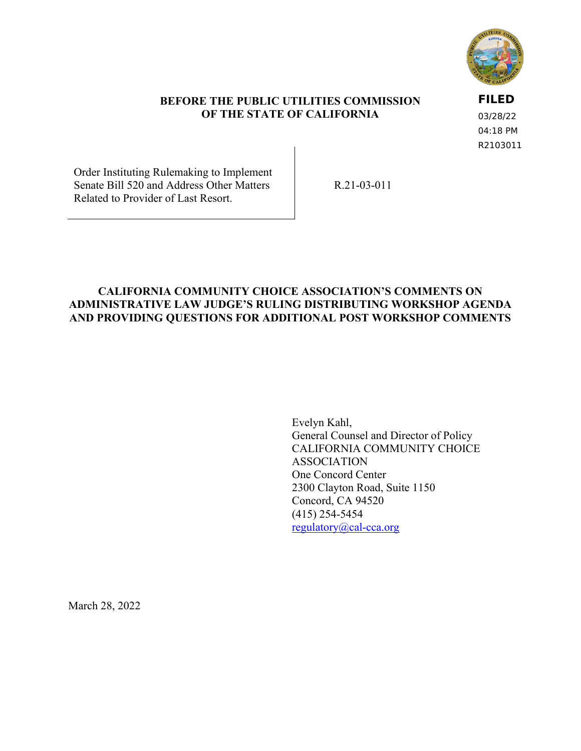

## **BEFORE THE PUBLIC UTILITIES COMMISSION OF THE STATE OF CALIFORNIA**

# **FILED**

03/28/22 04:18 PM R2103011

Order Instituting Rulemaking to Implement Senate Bill 520 and Address Other Matters Related to Provider of Last Resort.

R.21-03-011

## **CALIFORNIA COMMUNITY CHOICE ASSOCIATION'S COMMENTS ON ADMINISTRATIVE LAW JUDGE'S RULING DISTRIBUTING WORKSHOP AGENDA AND PROVIDING QUESTIONS FOR ADDITIONAL POST WORKSHOP COMMENTS**

Evelyn Kahl, General Counsel and Director of Policy CALIFORNIA COMMUNITY CHOICE ASSOCIATION One Concord Center 2300 Clayton Road, Suite 1150 Concord, CA 94520 (415) 254-5454 [regulatory@cal-cca.org](mailto:regulatory@cal-cca.org)

March 28, 2022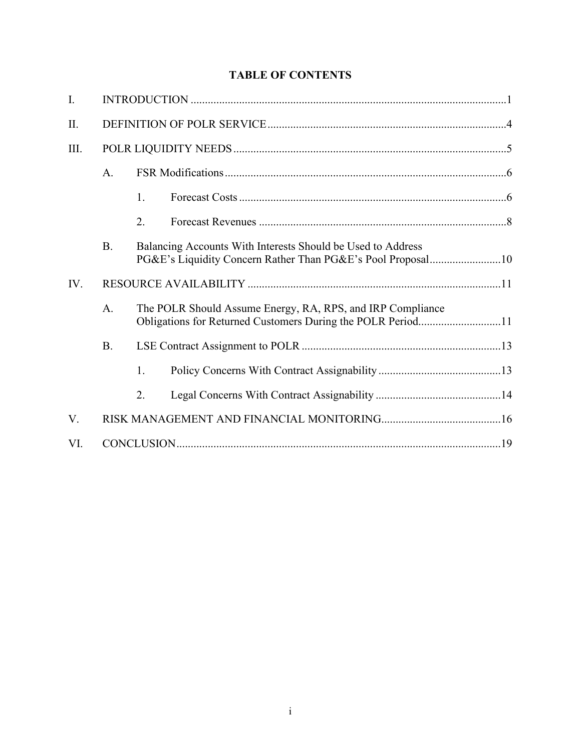# **TABLE OF CONTENTS**

| I.   |           |                                                                                                                            |  |  |  |
|------|-----------|----------------------------------------------------------------------------------------------------------------------------|--|--|--|
| Π.   |           |                                                                                                                            |  |  |  |
| III. |           |                                                                                                                            |  |  |  |
|      | A.        |                                                                                                                            |  |  |  |
|      |           | 1.                                                                                                                         |  |  |  |
|      |           | 2.                                                                                                                         |  |  |  |
|      | <b>B.</b> | Balancing Accounts With Interests Should be Used to Address<br>PG&E's Liquidity Concern Rather Than PG&E's Pool Proposal10 |  |  |  |
| IV.  |           |                                                                                                                            |  |  |  |
|      | A.        | The POLR Should Assume Energy, RA, RPS, and IRP Compliance<br>Obligations for Returned Customers During the POLR Period11  |  |  |  |
|      | <b>B.</b> |                                                                                                                            |  |  |  |
|      |           | 1.                                                                                                                         |  |  |  |
|      |           | 2.                                                                                                                         |  |  |  |
| V.   |           |                                                                                                                            |  |  |  |
| VI.  |           |                                                                                                                            |  |  |  |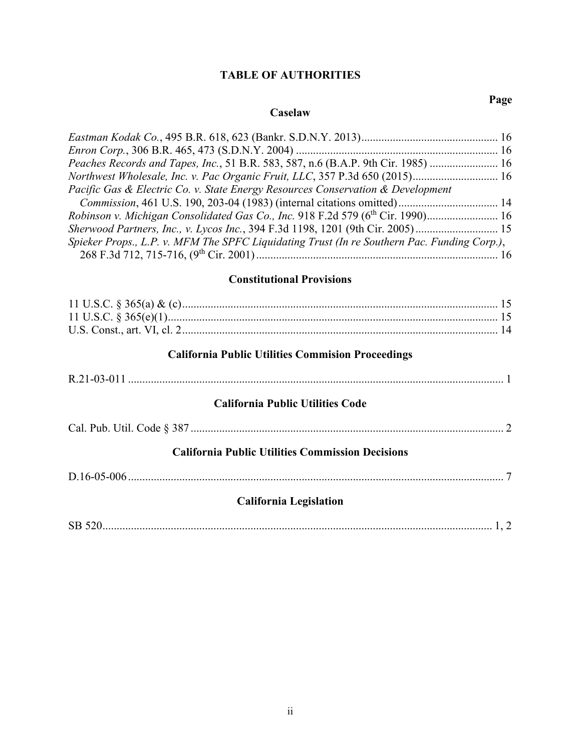# **TABLE OF AUTHORITIES**

#### **Caselaw**

| Peaches Records and Tapes, Inc., 51 B.R. 583, 587, n.6 (B.A.P. 9th Cir. 1985)  16           |  |  |  |  |
|---------------------------------------------------------------------------------------------|--|--|--|--|
| Northwest Wholesale, Inc. v. Pac Organic Fruit, LLC, 357 P.3d 650 (2015) 16                 |  |  |  |  |
| Pacific Gas & Electric Co. v. State Energy Resources Conservation & Development             |  |  |  |  |
|                                                                                             |  |  |  |  |
|                                                                                             |  |  |  |  |
| Sherwood Partners, Inc., v. Lycos Inc., 394 F.3d 1198, 1201 (9th Cir. 2005)                 |  |  |  |  |
| Spieker Props., L.P. v. MFM The SPFC Liquidating Trust (In re Southern Pac. Funding Corp.), |  |  |  |  |
|                                                                                             |  |  |  |  |

# **Constitutional Provisions**

| <b>California Public Utilities Commision Proceedings</b> |  |
|----------------------------------------------------------|--|
|                                                          |  |
| <b>California Public Utilities Code</b>                  |  |
|                                                          |  |
| <b>California Public Utilities Commission Decisions</b>  |  |
|                                                          |  |
| <b>California Legislation</b>                            |  |
|                                                          |  |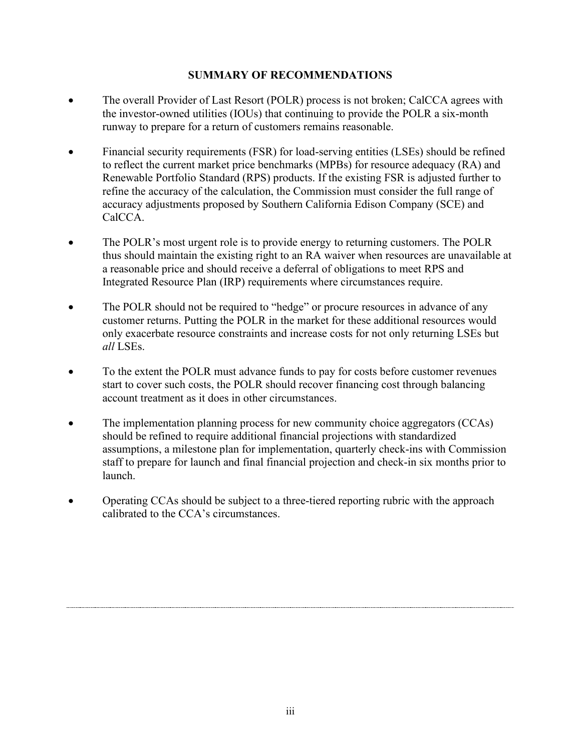## **SUMMARY OF RECOMMENDATIONS**

- The overall Provider of Last Resort (POLR) process is not broken; CalCCA agrees with the investor-owned utilities (IOUs) that continuing to provide the POLR a six-month runway to prepare for a return of customers remains reasonable.
- Financial security requirements (FSR) for load-serving entities (LSEs) should be refined to reflect the current market price benchmarks (MPBs) for resource adequacy (RA) and Renewable Portfolio Standard (RPS) products. If the existing FSR is adjusted further to refine the accuracy of the calculation, the Commission must consider the full range of accuracy adjustments proposed by Southern California Edison Company (SCE) and CalCCA.
- The POLR's most urgent role is to provide energy to returning customers. The POLR thus should maintain the existing right to an RA waiver when resources are unavailable at a reasonable price and should receive a deferral of obligations to meet RPS and Integrated Resource Plan (IRP) requirements where circumstances require.
- The POLR should not be required to "hedge" or procure resources in advance of any customer returns. Putting the POLR in the market for these additional resources would only exacerbate resource constraints and increase costs for not only returning LSEs but *all* LSEs.
- To the extent the POLR must advance funds to pay for costs before customer revenues start to cover such costs, the POLR should recover financing cost through balancing account treatment as it does in other circumstances.
- The implementation planning process for new community choice aggregators (CCAs) should be refined to require additional financial projections with standardized assumptions, a milestone plan for implementation, quarterly check-ins with Commission staff to prepare for launch and final financial projection and check-in six months prior to launch.
- Operating CCAs should be subject to a three-tiered reporting rubric with the approach calibrated to the CCA's circumstances.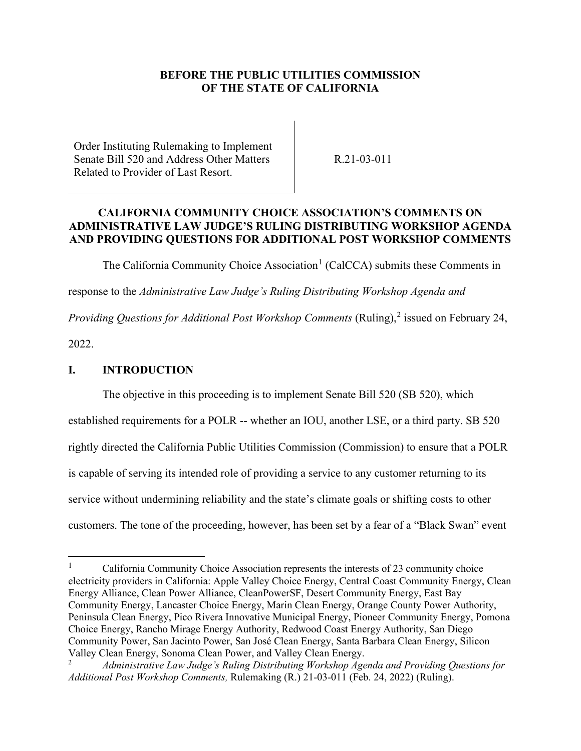## **BEFORE THE PUBLIC UTILITIES COMMISSION OF THE STATE OF CALIFORNIA**

Order Instituting Rulemaking to Implement Senate Bill 520 and Address Other Matters Related to Provider of Last Resort.

R.21-03-011

### **CALIFORNIA COMMUNITY CHOICE ASSOCIATION'S COMMENTS ON ADMINISTRATIVE LAW JUDGE'S RULING DISTRIBUTING WORKSHOP AGENDA AND PROVIDING QUESTIONS FOR ADDITIONAL POST WORKSHOP COMMENTS**

The California Community Choice Association<sup>[1](#page-4-1)</sup> (CalCCA) submits these Comments in

response to the *Administrative Law Judge's Ruling Distributing Workshop Agenda and* 

Providing Questions for Additional Post Workshop Comments (Ruling),<sup>[2](#page-4-2)</sup> issued on February 24,

2022.

## <span id="page-4-0"></span>**I. INTRODUCTION**

The objective in this proceeding is to implement Senate Bill 520 (SB 520), which

established requirements for a POLR -- whether an IOU, another LSE, or a third party. SB 520

rightly directed the California Public Utilities Commission (Commission) to ensure that a POLR

is capable of serving its intended role of providing a service to any customer returning to its

service without undermining reliability and the state's climate goals or shifting costs to other

customers. The tone of the proceeding, however, has been set by a fear of a "Black Swan" event

<span id="page-4-1"></span><sup>1</sup> California Community Choice Association represents the interests of 23 community choice electricity providers in California: Apple Valley Choice Energy, Central Coast Community Energy, Clean Energy Alliance, Clean Power Alliance, CleanPowerSF, Desert Community Energy, East Bay Community Energy, Lancaster Choice Energy, Marin Clean Energy, Orange County Power Authority, Peninsula Clean Energy, Pico Rivera Innovative Municipal Energy, Pioneer Community Energy, Pomona Choice Energy, Rancho Mirage Energy Authority, Redwood Coast Energy Authority, San Diego Community Power, San Jacinto Power, San José Clean Energy, Santa Barbara Clean Energy, Silicon Valley Clean Energy, Sonoma Clean Power, and Valley Clean Energy.

<span id="page-4-2"></span><sup>2</sup> *Administrative Law Judge's Ruling Distributing Workshop Agenda and Providing Questions for Additional Post Workshop Comments,* Rulemaking (R.) 21-03-011 (Feb. 24, 2022) (Ruling).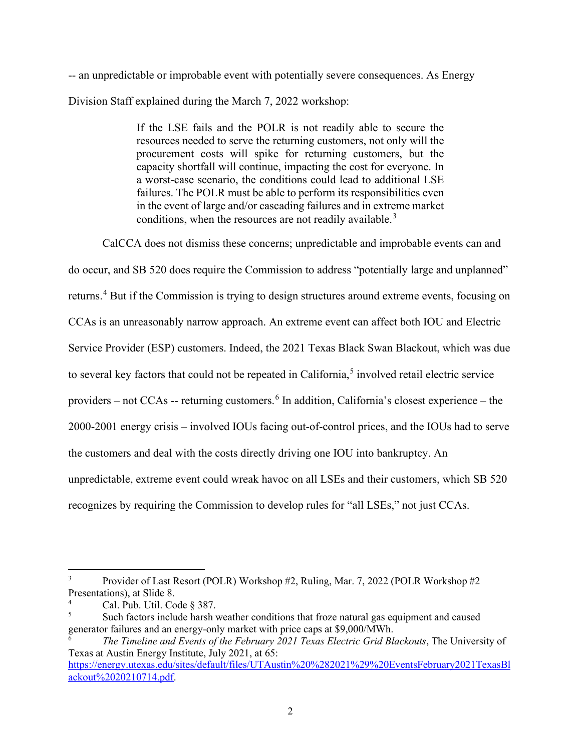-- an unpredictable or improbable event with potentially severe consequences. As Energy Division Staff explained during the March 7, 2022 workshop:

> If the LSE fails and the POLR is not readily able to secure the resources needed to serve the returning customers, not only will the procurement costs will spike for returning customers, but the capacity shortfall will continue, impacting the cost for everyone. In a worst-case scenario, the conditions could lead to additional LSE failures. The POLR must be able to perform its responsibilities even in the event of large and/or cascading failures and in extreme market conditions, when the resources are not readily available.<sup>[3](#page-5-0)</sup>

CalCCA does not dismiss these concerns; unpredictable and improbable events can and do occur, and SB 520 does require the Commission to address "potentially large and unplanned" returns.<sup>[4](#page-5-1)</sup> But if the Commission is trying to design structures around extreme events, focusing on CCAs is an unreasonably narrow approach. An extreme event can affect both IOU and Electric Service Provider (ESP) customers. Indeed, the 2021 Texas Black Swan Blackout, which was due to several key factors that could not be repeated in California,<sup>[5](#page-5-2)</sup> involved retail electric service providers – not CCAs -- returning customers.  $6$  In addition, California's closest experience – the 2000-2001 energy crisis – involved IOUs facing out-of-control prices, and the IOUs had to serve the customers and deal with the costs directly driving one IOU into bankruptcy. An unpredictable, extreme event could wreak havoc on all LSEs and their customers, which SB 520 recognizes by requiring the Commission to develop rules for "all LSEs," not just CCAs.

<span id="page-5-0"></span><sup>3</sup> Provider of Last Resort (POLR) Workshop #2, Ruling, Mar. 7, 2022 (POLR Workshop #2 Presentations), at Slide 8.

<span id="page-5-1"></span><sup>4</sup> Cal. Pub. Util. Code § 387.

<span id="page-5-2"></span><sup>5</sup> Such factors include harsh weather conditions that froze natural gas equipment and caused generator failures and an energy-only market with price caps at \$9,000/MWh.

<span id="page-5-3"></span><sup>6</sup> *The Timeline and Events of the February 2021 Texas Electric Grid Blackouts*, The University of Texas at Austin Energy Institute, July 2021, at 65: [https://energy.utexas.edu/sites/default/files/UTAustin%20%282021%29%20EventsFebruary2021TexasBl](https://energy.utexas.edu/sites/default/files/UTAustin%20%282021%29%20EventsFebruary2021TexasBlackout%2020210714.pdf) [ackout%2020210714.pdf.](https://energy.utexas.edu/sites/default/files/UTAustin%20%282021%29%20EventsFebruary2021TexasBlackout%2020210714.pdf)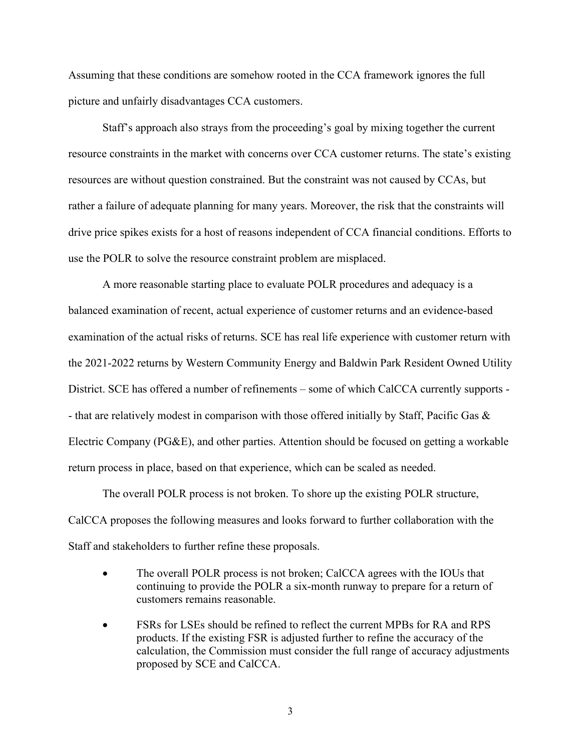Assuming that these conditions are somehow rooted in the CCA framework ignores the full picture and unfairly disadvantages CCA customers.

Staff's approach also strays from the proceeding's goal by mixing together the current resource constraints in the market with concerns over CCA customer returns. The state's existing resources are without question constrained. But the constraint was not caused by CCAs, but rather a failure of adequate planning for many years. Moreover, the risk that the constraints will drive price spikes exists for a host of reasons independent of CCA financial conditions. Efforts to use the POLR to solve the resource constraint problem are misplaced.

A more reasonable starting place to evaluate POLR procedures and adequacy is a balanced examination of recent, actual experience of customer returns and an evidence-based examination of the actual risks of returns. SCE has real life experience with customer return with the 2021-2022 returns by Western Community Energy and Baldwin Park Resident Owned Utility District. SCE has offered a number of refinements – some of which CalCCA currently supports - - that are relatively modest in comparison with those offered initially by Staff, Pacific Gas & Electric Company (PG&E), and other parties. Attention should be focused on getting a workable return process in place, based on that experience, which can be scaled as needed.

The overall POLR process is not broken. To shore up the existing POLR structure, CalCCA proposes the following measures and looks forward to further collaboration with the Staff and stakeholders to further refine these proposals.

- The overall POLR process is not broken; CalCCA agrees with the IOUs that continuing to provide the POLR a six-month runway to prepare for a return of customers remains reasonable.
- FSRs for LSEs should be refined to reflect the current MPBs for RA and RPS products. If the existing FSR is adjusted further to refine the accuracy of the calculation, the Commission must consider the full range of accuracy adjustments proposed by SCE and CalCCA.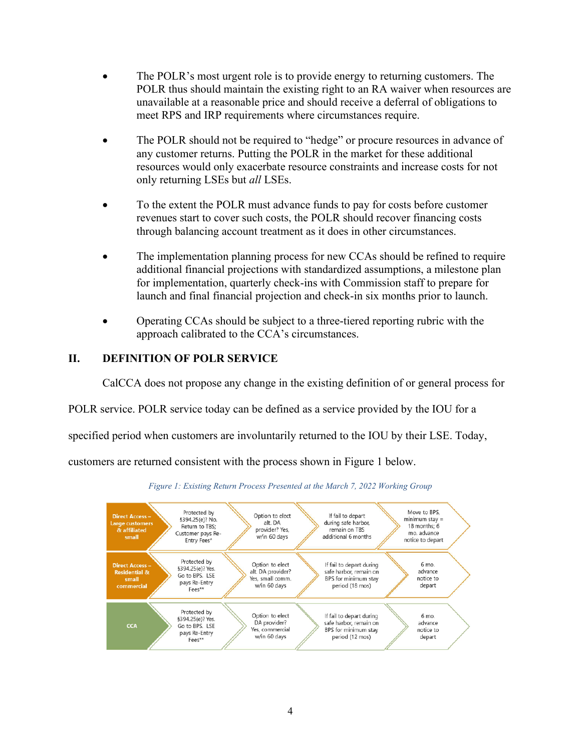- The POLR's most urgent role is to provide energy to returning customers. The POLR thus should maintain the existing right to an RA waiver when resources are unavailable at a reasonable price and should receive a deferral of obligations to meet RPS and IRP requirements where circumstances require.
- The POLR should not be required to "hedge" or procure resources in advance of any customer returns. Putting the POLR in the market for these additional resources would only exacerbate resource constraints and increase costs for not only returning LSEs but *all* LSEs.
- To the extent the POLR must advance funds to pay for costs before customer revenues start to cover such costs, the POLR should recover financing costs through balancing account treatment as it does in other circumstances.
- The implementation planning process for new CCAs should be refined to require additional financial projections with standardized assumptions, a milestone plan for implementation, quarterly check-ins with Commission staff to prepare for launch and final financial projection and check-in six months prior to launch.
- Operating CCAs should be subject to a three-tiered reporting rubric with the approach calibrated to the CCA's circumstances.

# <span id="page-7-0"></span>**II. DEFINITION OF POLR SERVICE**

CalCCA does not propose any change in the existing definition of or general process for

POLR service. POLR service today can be defined as a service provided by the IOU for a

specified period when customers are involuntarily returned to the IOU by their LSE. Today,

customers are returned consistent with the process shown in Figure 1 below.



*Figure 1: Existing Return Process Presented at the March 7, 2022 Working Group*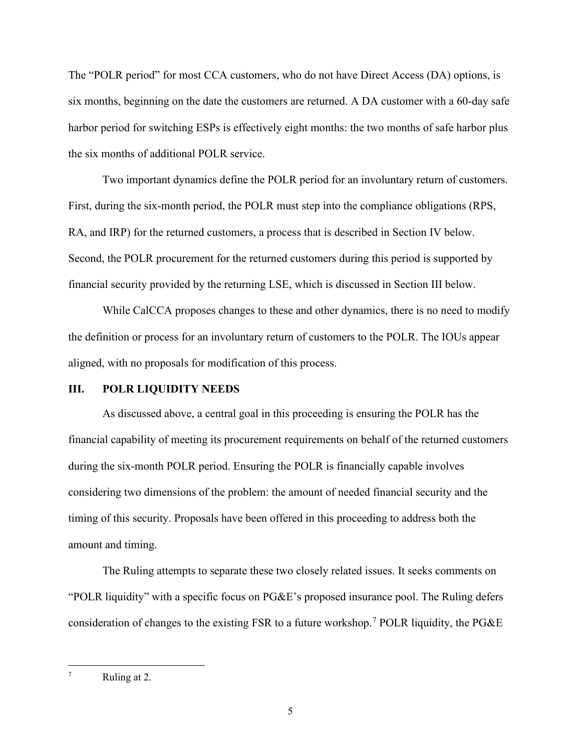The "POLR period" for most CCA customers, who do not have Direct Access (DA) options, is six months, beginning on the date the customers are returned. A DA customer with a 60-day safe harbor period for switching ESPs is effectively eight months: the two months of safe harbor plus the six months of additional POLR service.

Two important dynamics define the POLR period for an involuntary return of customers. First, during the six-month period, the POLR must step into the compliance obligations (RPS, RA, and IRP) for the returned customers, a process that is described in Section IV below. Second, the POLR procurement for the returned customers during this period is supported by financial security provided by the returning LSE, which is discussed in Section III below.

While CalCCA proposes changes to these and other dynamics, there is no need to modify the definition or process for an involuntary return of customers to the POLR. The IOUs appear aligned, with no proposals for modification of this process.

#### <span id="page-8-0"></span>**III. POLR LIQUIDITY NEEDS**

As discussed above, a central goal in this proceeding is ensuring the POLR has the financial capability of meeting its procurement requirements on behalf of the returned customers during the six-month POLR period. Ensuring the POLR is financially capable involves considering two dimensions of the problem: the amount of needed financial security and the timing of this security. Proposals have been offered in this proceeding to address both the amount and timing.

The Ruling attempts to separate these two closely related issues. It seeks comments on "POLR liquidity" with a specific focus on PG&E's proposed insurance pool. The Ruling defers consideration of changes to the existing FSR to a future workshop.<sup>[7](#page-8-1)</sup> POLR liquidity, the PG&E

<span id="page-8-1"></span><sup>7</sup> Ruling at 2.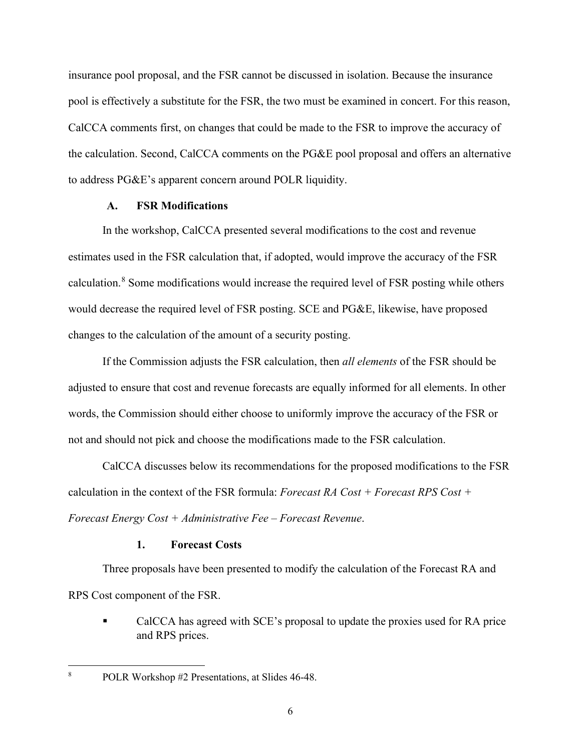insurance pool proposal, and the FSR cannot be discussed in isolation. Because the insurance pool is effectively a substitute for the FSR, the two must be examined in concert. For this reason, CalCCA comments first, on changes that could be made to the FSR to improve the accuracy of the calculation. Second, CalCCA comments on the PG&E pool proposal and offers an alternative to address PG&E's apparent concern around POLR liquidity.

### **A. FSR Modifications**

<span id="page-9-0"></span>In the workshop, CalCCA presented several modifications to the cost and revenue estimates used in the FSR calculation that, if adopted, would improve the accuracy of the FSR calculation.<sup>[8](#page-9-2)</sup> Some modifications would increase the required level of FSR posting while others would decrease the required level of FSR posting. SCE and PG&E, likewise, have proposed changes to the calculation of the amount of a security posting.

If the Commission adjusts the FSR calculation, then *all elements* of the FSR should be adjusted to ensure that cost and revenue forecasts are equally informed for all elements. In other words, the Commission should either choose to uniformly improve the accuracy of the FSR or not and should not pick and choose the modifications made to the FSR calculation.

CalCCA discusses below its recommendations for the proposed modifications to the FSR calculation in the context of the FSR formula: *Forecast RA Cost + Forecast RPS Cost + Forecast Energy Cost + Administrative Fee – Forecast Revenue*.

### **1. Forecast Costs**

<span id="page-9-1"></span>Three proposals have been presented to modify the calculation of the Forecast RA and RPS Cost component of the FSR.

 CalCCA has agreed with SCE's proposal to update the proxies used for RA price and RPS prices.

<span id="page-9-2"></span>POLR Workshop #2 Presentations, at Slides 46-48.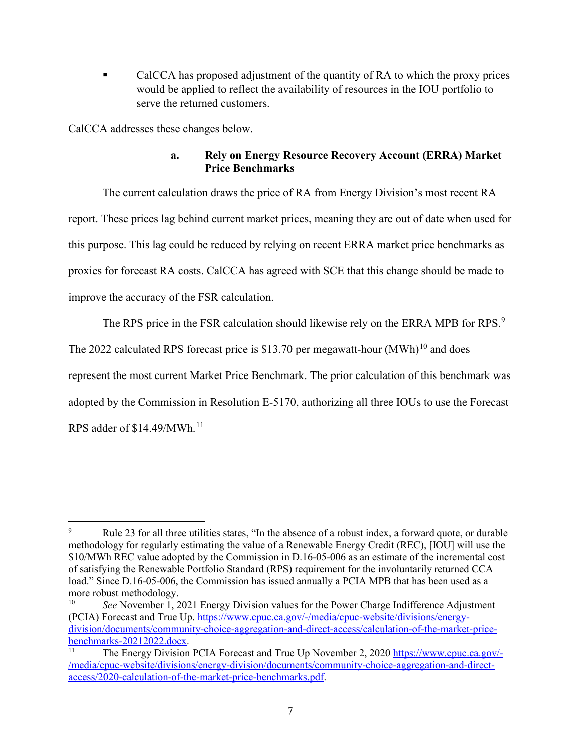CalCCA has proposed adjustment of the quantity of RA to which the proxy prices would be applied to reflect the availability of resources in the IOU portfolio to serve the returned customers.

CalCCA addresses these changes below.

# **a. Rely on Energy Resource Recovery Account (ERRA) Market Price Benchmarks**

The current calculation draws the price of RA from Energy Division's most recent RA report. These prices lag behind current market prices, meaning they are out of date when used for this purpose. This lag could be reduced by relying on recent ERRA market price benchmarks as proxies for forecast RA costs. CalCCA has agreed with SCE that this change should be made to improve the accuracy of the FSR calculation.

The RPS price in the FSR calculation should likewise rely on the ERRA MPB for RPS.<sup>[9](#page-10-0)</sup>

The 2022 calculated RPS forecast price is \$13.70 per megawatt-hour  $(MWh)^{10}$  $(MWh)^{10}$  $(MWh)^{10}$  and does

represent the most current Market Price Benchmark. The prior calculation of this benchmark was adopted by the Commission in Resolution E-5170, authorizing all three IOUs to use the Forecast

RPS adder of \$14.49/MWh. [11](#page-10-2)

<span id="page-10-0"></span><sup>9</sup> Rule 23 for all three utilities states, "In the absence of a robust index, a forward quote, or durable methodology for regularly estimating the value of a Renewable Energy Credit (REC), [IOU] will use the \$10/MWh REC value adopted by the Commission in D.16-05-006 as an estimate of the incremental cost of satisfying the Renewable Portfolio Standard (RPS) requirement for the involuntarily returned CCA load." Since D.16-05-006, the Commission has issued annually a PCIA MPB that has been used as a more robust methodology.<br> $\frac{10}{2}$  See November 1, 2

<span id="page-10-1"></span>See November 1, 2021 Energy Division values for the Power Charge Indifference Adjustment (PCIA) Forecast and True Up. [https://www.cpuc.ca.gov/-/media/cpuc-website/divisions/energy](https://www.cpuc.ca.gov/-/media/cpuc-website/divisions/energy-division/documents/community-choice-aggregation-and-direct-access/calculation-of-the-market-price-benchmarks-20212022.docx)[division/documents/community-choice-aggregation-and-direct-access/calculation-of-the-market-price](https://www.cpuc.ca.gov/-/media/cpuc-website/divisions/energy-division/documents/community-choice-aggregation-and-direct-access/calculation-of-the-market-price-benchmarks-20212022.docx)[benchmarks-20212022.docx.](https://www.cpuc.ca.gov/-/media/cpuc-website/divisions/energy-division/documents/community-choice-aggregation-and-direct-access/calculation-of-the-market-price-benchmarks-20212022.docx)<br><sup>11</sup> The Energy Division PCIA Forecast and True Up November 2, 2020 [https://www.cpuc.ca.gov/-](https://www.cpuc.ca.gov/-/media/cpuc-website/divisions/energy-division/documents/community-choice-aggregation-and-direct-access/2020-calculation-of-the-market-price-benchmarks.pdf)

<span id="page-10-2"></span>[<sup>/</sup>media/cpuc-website/divisions/energy-division/documents/community-choice-aggregation-and-direct](https://www.cpuc.ca.gov/-/media/cpuc-website/divisions/energy-division/documents/community-choice-aggregation-and-direct-access/2020-calculation-of-the-market-price-benchmarks.pdf)[access/2020-calculation-of-the-market-price-benchmarks.pdf.](https://www.cpuc.ca.gov/-/media/cpuc-website/divisions/energy-division/documents/community-choice-aggregation-and-direct-access/2020-calculation-of-the-market-price-benchmarks.pdf)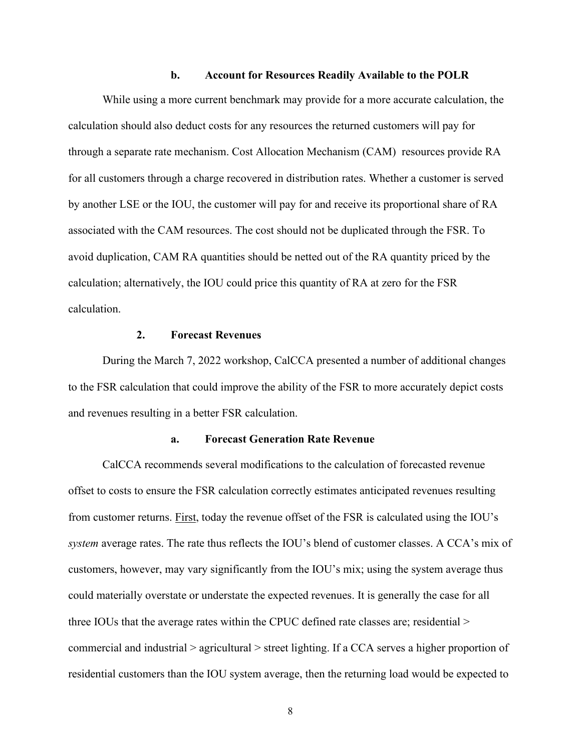#### **b. Account for Resources Readily Available to the POLR**

While using a more current benchmark may provide for a more accurate calculation, the calculation should also deduct costs for any resources the returned customers will pay for through a separate rate mechanism. Cost Allocation Mechanism (CAM) resources provide RA for all customers through a charge recovered in distribution rates. Whether a customer is served by another LSE or the IOU, the customer will pay for and receive its proportional share of RA associated with the CAM resources. The cost should not be duplicated through the FSR. To avoid duplication, CAM RA quantities should be netted out of the RA quantity priced by the calculation; alternatively, the IOU could price this quantity of RA at zero for the FSR calculation.

### **2. Forecast Revenues**

<span id="page-11-0"></span>During the March 7, 2022 workshop, CalCCA presented a number of additional changes to the FSR calculation that could improve the ability of the FSR to more accurately depict costs and revenues resulting in a better FSR calculation.

### **a. Forecast Generation Rate Revenue**

CalCCA recommends several modifications to the calculation of forecasted revenue offset to costs to ensure the FSR calculation correctly estimates anticipated revenues resulting from customer returns. First, today the revenue offset of the FSR is calculated using the IOU's *system* average rates. The rate thus reflects the IOU's blend of customer classes. A CCA's mix of customers, however, may vary significantly from the IOU's mix; using the system average thus could materially overstate or understate the expected revenues. It is generally the case for all three IOUs that the average rates within the CPUC defined rate classes are; residential > commercial and industrial > agricultural > street lighting. If a CCA serves a higher proportion of residential customers than the IOU system average, then the returning load would be expected to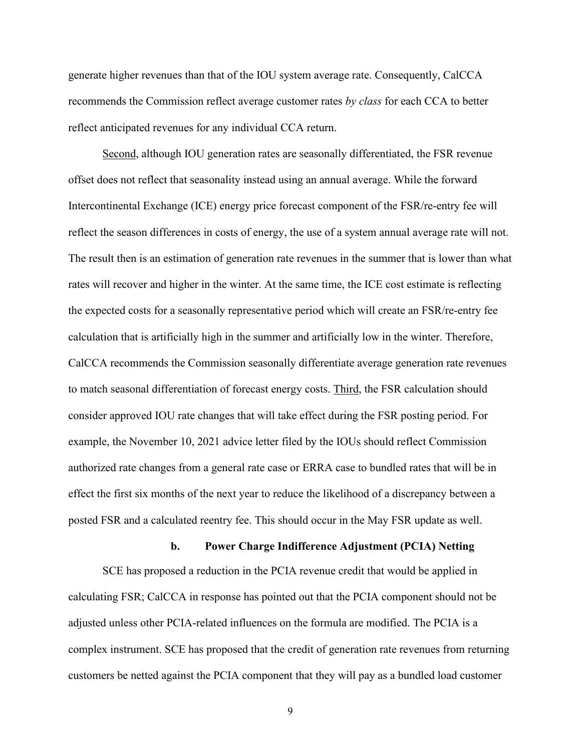generate higher revenues than that of the IOU system average rate. Consequently, CalCCA recommends the Commission reflect average customer rates *by class* for each CCA to better reflect anticipated revenues for any individual CCA return.

Second, although IOU generation rates are seasonally differentiated, the FSR revenue offset does not reflect that seasonality instead using an annual average. While the forward Intercontinental Exchange (ICE) energy price forecast component of the FSR/re-entry fee will reflect the season differences in costs of energy, the use of a system annual average rate will not. The result then is an estimation of generation rate revenues in the summer that is lower than what rates will recover and higher in the winter. At the same time, the ICE cost estimate is reflecting the expected costs for a seasonally representative period which will create an FSR/re-entry fee calculation that is artificially high in the summer and artificially low in the winter. Therefore, CalCCA recommends the Commission seasonally differentiate average generation rate revenues to match seasonal differentiation of forecast energy costs. Third, the FSR calculation should consider approved IOU rate changes that will take effect during the FSR posting period. For example, the November 10, 2021 advice letter filed by the IOUs should reflect Commission authorized rate changes from a general rate case or ERRA case to bundled rates that will be in effect the first six months of the next year to reduce the likelihood of a discrepancy between a posted FSR and a calculated reentry fee. This should occur in the May FSR update as well.

#### **b. Power Charge Indifference Adjustment (PCIA) Netting**

SCE has proposed a reduction in the PCIA revenue credit that would be applied in calculating FSR; CalCCA in response has pointed out that the PCIA component should not be adjusted unless other PCIA-related influences on the formula are modified. The PCIA is a complex instrument. SCE has proposed that the credit of generation rate revenues from returning customers be netted against the PCIA component that they will pay as a bundled load customer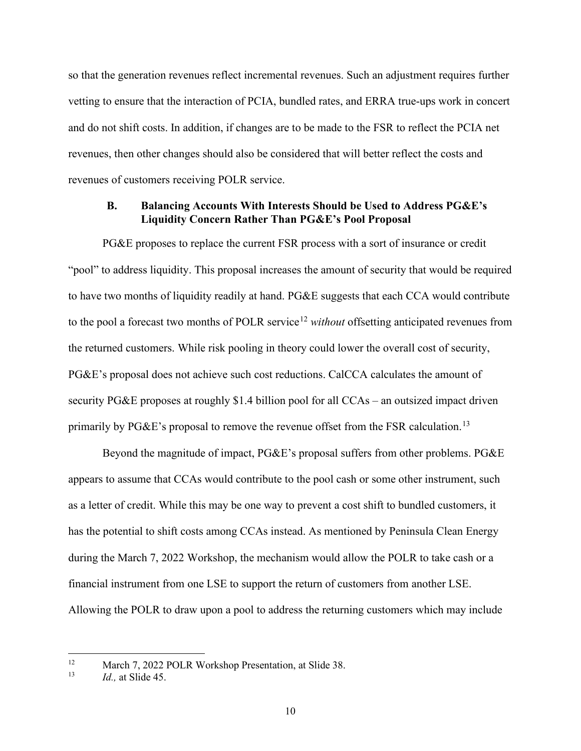so that the generation revenues reflect incremental revenues. Such an adjustment requires further vetting to ensure that the interaction of PCIA, bundled rates, and ERRA true-ups work in concert and do not shift costs. In addition, if changes are to be made to the FSR to reflect the PCIA net revenues, then other changes should also be considered that will better reflect the costs and revenues of customers receiving POLR service.

### <span id="page-13-0"></span>**B. Balancing Accounts With Interests Should be Used to Address PG&E's Liquidity Concern Rather Than PG&E's Pool Proposal**

PG&E proposes to replace the current FSR process with a sort of insurance or credit "pool" to address liquidity. This proposal increases the amount of security that would be required to have two months of liquidity readily at hand. PG&E suggests that each CCA would contribute to the pool a forecast two months of POLR service<sup>[12](#page-13-1)</sup> *without* offsetting anticipated revenues from the returned customers. While risk pooling in theory could lower the overall cost of security, PG&E's proposal does not achieve such cost reductions. CalCCA calculates the amount of security PG&E proposes at roughly \$1.4 billion pool for all CCAs – an outsized impact driven primarily by  $P G \& E$ 's proposal to remove the revenue offset from the FSR calculation.<sup>[13](#page-13-2)</sup>

Beyond the magnitude of impact, PG&E's proposal suffers from other problems. PG&E appears to assume that CCAs would contribute to the pool cash or some other instrument, such as a letter of credit. While this may be one way to prevent a cost shift to bundled customers, it has the potential to shift costs among CCAs instead. As mentioned by Peninsula Clean Energy during the March 7, 2022 Workshop, the mechanism would allow the POLR to take cash or a financial instrument from one LSE to support the return of customers from another LSE. Allowing the POLR to draw upon a pool to address the returning customers which may include

<span id="page-13-2"></span><span id="page-13-1"></span><sup>12</sup> March 7, 2022 POLR Workshop Presentation, at Slide 38. 13 *Id.,* at Slide 45.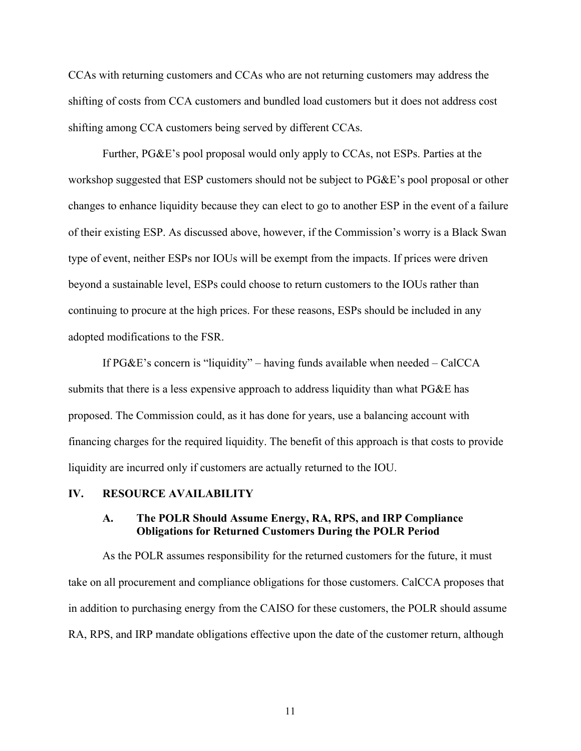CCAs with returning customers and CCAs who are not returning customers may address the shifting of costs from CCA customers and bundled load customers but it does not address cost shifting among CCA customers being served by different CCAs.

Further, PG&E's pool proposal would only apply to CCAs, not ESPs. Parties at the workshop suggested that ESP customers should not be subject to PG&E's pool proposal or other changes to enhance liquidity because they can elect to go to another ESP in the event of a failure of their existing ESP. As discussed above, however, if the Commission's worry is a Black Swan type of event, neither ESPs nor IOUs will be exempt from the impacts. If prices were driven beyond a sustainable level, ESPs could choose to return customers to the IOUs rather than continuing to procure at the high prices. For these reasons, ESPs should be included in any adopted modifications to the FSR.

If PG&E's concern is "liquidity" – having funds available when needed – CalCCA submits that there is a less expensive approach to address liquidity than what PG&E has proposed. The Commission could, as it has done for years, use a balancing account with financing charges for the required liquidity. The benefit of this approach is that costs to provide liquidity are incurred only if customers are actually returned to the IOU.

#### <span id="page-14-1"></span><span id="page-14-0"></span>**IV. RESOURCE AVAILABILITY**

### **A. The POLR Should Assume Energy, RA, RPS, and IRP Compliance Obligations for Returned Customers During the POLR Period**

As the POLR assumes responsibility for the returned customers for the future, it must take on all procurement and compliance obligations for those customers. CalCCA proposes that in addition to purchasing energy from the CAISO for these customers, the POLR should assume RA, RPS, and IRP mandate obligations effective upon the date of the customer return, although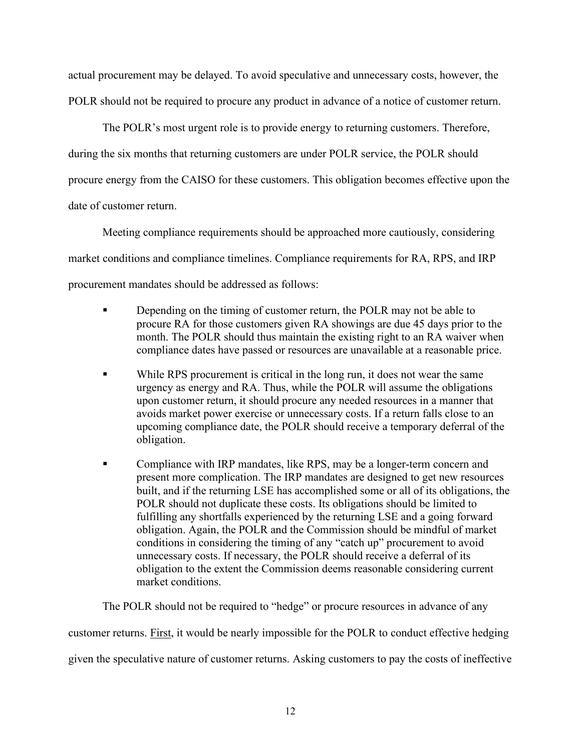actual procurement may be delayed. To avoid speculative and unnecessary costs, however, the POLR should not be required to procure any product in advance of a notice of customer return.

The POLR's most urgent role is to provide energy to returning customers. Therefore, during the six months that returning customers are under POLR service, the POLR should procure energy from the CAISO for these customers. This obligation becomes effective upon the date of customer return.

Meeting compliance requirements should be approached more cautiously, considering market conditions and compliance timelines. Compliance requirements for RA, RPS, and IRP procurement mandates should be addressed as follows:

- **•** Depending on the timing of customer return, the POLR may not be able to procure RA for those customers given RA showings are due 45 days prior to the month. The POLR should thus maintain the existing right to an RA waiver when compliance dates have passed or resources are unavailable at a reasonable price.
- While RPS procurement is critical in the long run, it does not wear the same urgency as energy and RA. Thus, while the POLR will assume the obligations upon customer return, it should procure any needed resources in a manner that avoids market power exercise or unnecessary costs. If a return falls close to an upcoming compliance date, the POLR should receive a temporary deferral of the obligation.
- Compliance with IRP mandates, like RPS, may be a longer-term concern and present more complication. The IRP mandates are designed to get new resources built, and if the returning LSE has accomplished some or all of its obligations, the POLR should not duplicate these costs. Its obligations should be limited to fulfilling any shortfalls experienced by the returning LSE and a going forward obligation. Again, the POLR and the Commission should be mindful of market conditions in considering the timing of any "catch up" procurement to avoid unnecessary costs. If necessary, the POLR should receive a deferral of its obligation to the extent the Commission deems reasonable considering current market conditions.

The POLR should not be required to "hedge" or procure resources in advance of any

customer returns. First, it would be nearly impossible for the POLR to conduct effective hedging

given the speculative nature of customer returns. Asking customers to pay the costs of ineffective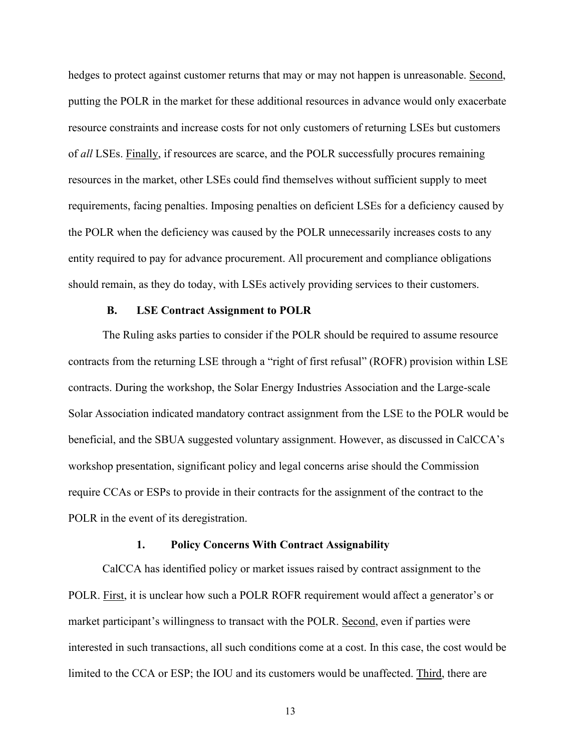hedges to protect against customer returns that may or may not happen is unreasonable. Second, putting the POLR in the market for these additional resources in advance would only exacerbate resource constraints and increase costs for not only customers of returning LSEs but customers of *all* LSEs. Finally, if resources are scarce, and the POLR successfully procures remaining resources in the market, other LSEs could find themselves without sufficient supply to meet requirements, facing penalties. Imposing penalties on deficient LSEs for a deficiency caused by the POLR when the deficiency was caused by the POLR unnecessarily increases costs to any entity required to pay for advance procurement. All procurement and compliance obligations should remain, as they do today, with LSEs actively providing services to their customers.

#### **B. LSE Contract Assignment to POLR**

<span id="page-16-0"></span>The Ruling asks parties to consider if the POLR should be required to assume resource contracts from the returning LSE through a "right of first refusal" (ROFR) provision within LSE contracts. During the workshop, the Solar Energy Industries Association and the Large-scale Solar Association indicated mandatory contract assignment from the LSE to the POLR would be beneficial, and the SBUA suggested voluntary assignment. However, as discussed in CalCCA's workshop presentation, significant policy and legal concerns arise should the Commission require CCAs or ESPs to provide in their contracts for the assignment of the contract to the POLR in the event of its deregistration.

#### **1. Policy Concerns With Contract Assignability**

<span id="page-16-1"></span>CalCCA has identified policy or market issues raised by contract assignment to the POLR. First, it is unclear how such a POLR ROFR requirement would affect a generator's or market participant's willingness to transact with the POLR. Second, even if parties were interested in such transactions, all such conditions come at a cost. In this case, the cost would be limited to the CCA or ESP; the IOU and its customers would be unaffected. Third, there are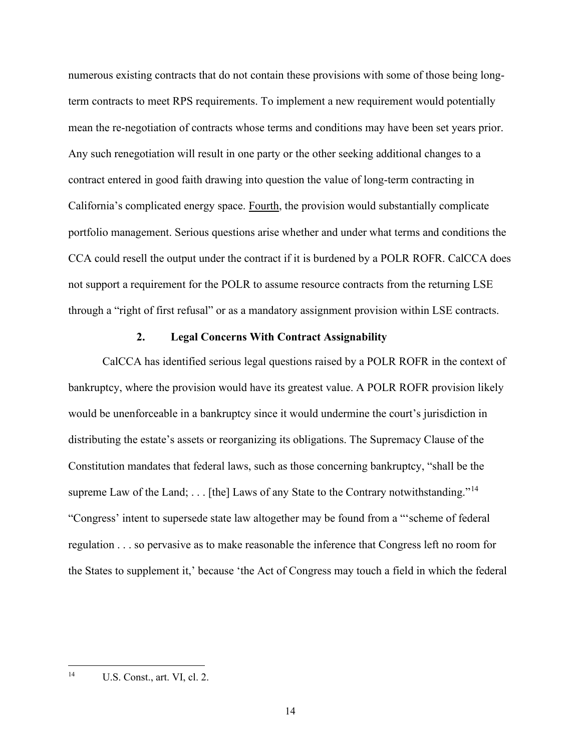numerous existing contracts that do not contain these provisions with some of those being longterm contracts to meet RPS requirements. To implement a new requirement would potentially mean the re-negotiation of contracts whose terms and conditions may have been set years prior. Any such renegotiation will result in one party or the other seeking additional changes to a contract entered in good faith drawing into question the value of long-term contracting in California's complicated energy space. Fourth, the provision would substantially complicate portfolio management. Serious questions arise whether and under what terms and conditions the CCA could resell the output under the contract if it is burdened by a POLR ROFR. CalCCA does not support a requirement for the POLR to assume resource contracts from the returning LSE through a "right of first refusal" or as a mandatory assignment provision within LSE contracts.

#### **2. Legal Concerns With Contract Assignability**

<span id="page-17-0"></span>CalCCA has identified serious legal questions raised by a POLR ROFR in the context of bankruptcy, where the provision would have its greatest value. A POLR ROFR provision likely would be unenforceable in a bankruptcy since it would undermine the court's jurisdiction in distributing the estate's assets or reorganizing its obligations. The Supremacy Clause of the Constitution mandates that federal laws, such as those concerning bankruptcy, "shall be the supreme Law of the Land; ... [the] Laws of any State to the Contrary notwithstanding."<sup>[14](#page-17-1)</sup> "Congress' intent to supersede state law altogether may be found from a "'scheme of federal regulation . . . so pervasive as to make reasonable the inference that Congress left no room for the States to supplement it,' because 'the Act of Congress may touch a field in which the federal

<span id="page-17-1"></span><sup>14</sup> U.S. Const., art. VI, cl. 2.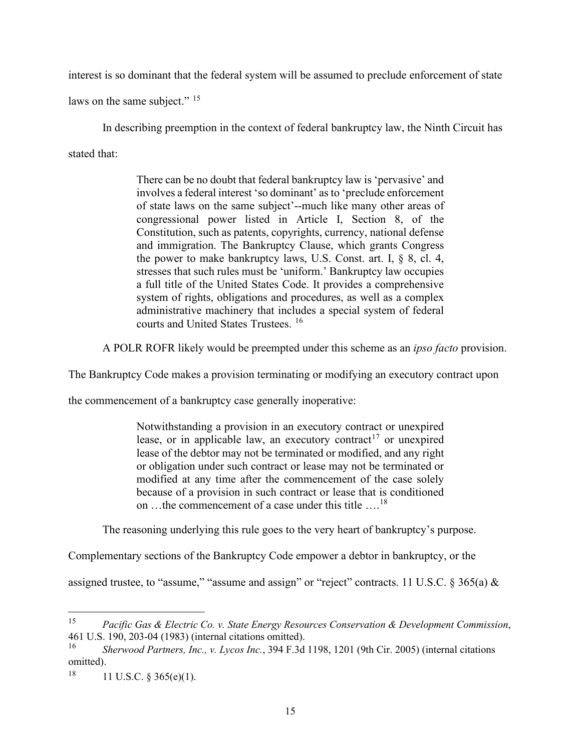interest is so dominant that the federal system will be assumed to preclude enforcement of state

laws on the same subject." <sup>[15](#page-18-0)</sup>

In describing preemption in the context of federal bankruptcy law, the Ninth Circuit has

stated that:

There can be no doubt that federal bankruptcy law is 'pervasive' and involves a federal interest 'so dominant' as to 'preclude enforcement of state laws on the same subject'--much like many other areas of congressional power listed in Article I, Section 8, of the Constitution, such as patents, copyrights, currency, national defense and immigration. The Bankruptcy Clause, which grants Congress the power to make bankruptcy laws, U.S. Const. art. I, § 8, cl. 4, stresses that such rules must be 'uniform.' Bankruptcy law occupies a full title of the United States Code. It provides a comprehensive system of rights, obligations and procedures, as well as a complex administrative machinery that includes a special system of federal courts and United States Trustees. [16](#page-18-1)

A POLR ROFR likely would be preempted under this scheme as an *ipso facto* provision.

The Bankruptcy Code makes a provision terminating or modifying an executory contract upon

the commencement of a bankruptcy case generally inoperative:

Notwithstanding a provision in an executory contract or unexpired lease, or in applicable law, an executory contract<sup>[17](#page-18-2)</sup> or unexpired lease of the debtor may not be terminated or modified, and any right or obligation under such contract or lease may not be terminated or modified at any time after the commencement of the case solely because of a provision in such contract or lease that is conditioned on …the commencement of a case under this title ….[18](#page-18-3)

The reasoning underlying this rule goes to the very heart of bankruptcy's purpose.

Complementary sections of the Bankruptcy Code empower a debtor in bankruptcy, or the

assigned trustee, to "assume," "assume and assign" or "reject" contracts. 11 U.S.C. § 365(a) &

<span id="page-18-0"></span><sup>15</sup> *Pacific Gas & Electric Co. v. State Energy Resources Conservation & Development Commission*, 461 U.S. 190, 203-04 (1983) (internal citations omitted). 16 *Sherwood Partners, Inc., v. Lycos Inc.*, 394 F.3d 1198, 1201 (9th Cir. 2005) (internal citations

<span id="page-18-1"></span>omitted).

<span id="page-18-3"></span><span id="page-18-2"></span> $18$  11 U.S.C. § 365(e)(1).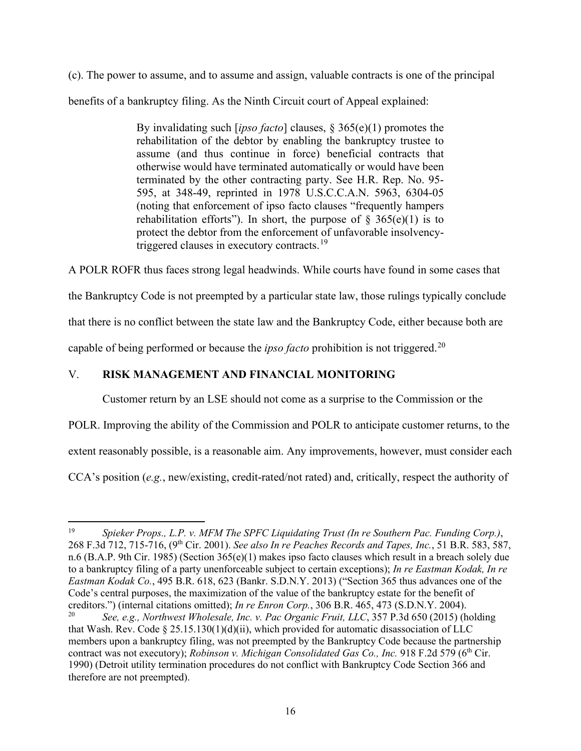(c). The power to assume, and to assume and assign, valuable contracts is one of the principal benefits of a bankruptcy filing. As the Ninth Circuit court of Appeal explained:

> By invalidating such [*ipso facto*] clauses, § 365(e)(1) promotes the rehabilitation of the debtor by enabling the bankruptcy trustee to assume (and thus continue in force) beneficial contracts that otherwise would have terminated automatically or would have been terminated by the other contracting party. See H.R. Rep. No. 95- 595, at 348-49, reprinted in 1978 U.S.C.C.A.N. 5963, 6304-05 (noting that enforcement of ipso facto clauses "frequently hampers rehabilitation efforts"). In short, the purpose of  $\S$  365(e)(1) is to protect the debtor from the enforcement of unfavorable insolvencytriggered clauses in executory contracts.<sup>19</sup>

A POLR ROFR thus faces strong legal headwinds. While courts have found in some cases that

the Bankruptcy Code is not preempted by a particular state law, those rulings typically conclude

that there is no conflict between the state law and the Bankruptcy Code, either because both are

capable of being performed or because the *ipso facto* prohibition is not triggered.<sup>[20](#page-19-2)</sup>

# <span id="page-19-0"></span>V. **RISK MANAGEMENT AND FINANCIAL MONITORING**

Customer return by an LSE should not come as a surprise to the Commission or the

POLR. Improving the ability of the Commission and POLR to anticipate customer returns, to the

extent reasonably possible, is a reasonable aim. Any improvements, however, must consider each

CCA's position (*e.g.*, new/existing, credit-rated/not rated) and, critically, respect the authority of

<span id="page-19-1"></span><sup>19</sup> *Spieker Props., L.P. v. MFM The SPFC Liquidating Trust (In re Southern Pac. Funding Corp.)*, 268 F.3d 712, 715-716, (9th Cir. 2001). *See also In re Peaches Records and Tapes, Inc.*, 51 B.R. 583, 587, n.6 (B.A.P. 9th Cir. 1985) (Section 365(e)(1) makes ipso facto clauses which result in a breach solely due to a bankruptcy filing of a party unenforceable subject to certain exceptions); *In re Eastman Kodak, In re Eastman Kodak Co.*, 495 B.R. 618, 623 (Bankr. S.D.N.Y. 2013) ("Section 365 thus advances one of the Code's central purposes, the maximization of the value of the bankruptcy estate for the benefit of creditors.") (internal citations omitted); *In re Enron Corp.*, 306 B.R. 465, 473 (S.D.N.Y. 2004).<br><sup>20</sup> See e.g. Northwest Wholesale, *Inc. y. Pac Organic Fruit LLC*, 357 P.34 650 (2015) (b

<span id="page-19-2"></span><sup>20</sup> *See, e.g., Northwest Wholesale, Inc. v. Pac Organic Fruit, LLC*, 357 P.3d 650 (2015) (holding that Wash. Rev. Code § 25.15.130(1)(d)(ii), which provided for automatic disassociation of LLC members upon a bankruptcy filing, was not preempted by the Bankruptcy Code because the partnership contract was not executory); *Robinson v. Michigan Consolidated Gas Co., Inc.* 918 F.2d 579 (6<sup>th</sup> Cir. 1990) (Detroit utility termination procedures do not conflict with Bankruptcy Code Section 366 and therefore are not preempted).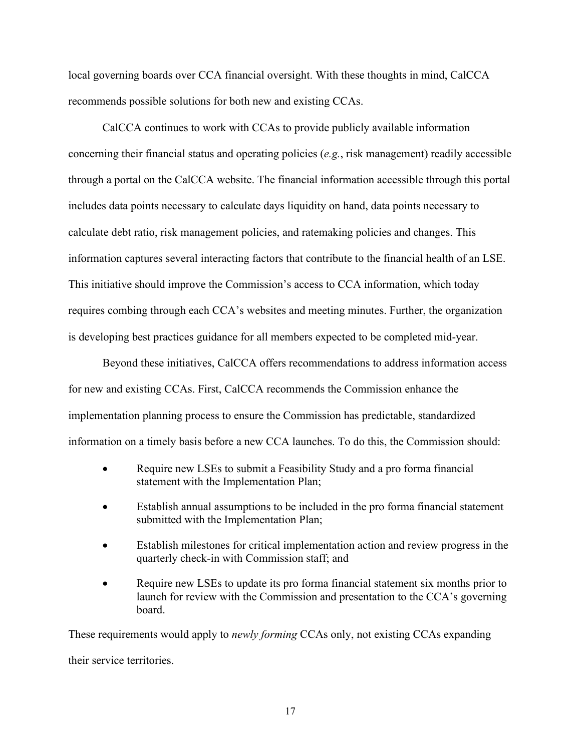local governing boards over CCA financial oversight. With these thoughts in mind, CalCCA recommends possible solutions for both new and existing CCAs.

CalCCA continues to work with CCAs to provide publicly available information concerning their financial status and operating policies (*e.g.*, risk management) readily accessible through a portal on the CalCCA website. The financial information accessible through this portal includes data points necessary to calculate days liquidity on hand, data points necessary to calculate debt ratio, risk management policies, and ratemaking policies and changes. This information captures several interacting factors that contribute to the financial health of an LSE. This initiative should improve the Commission's access to CCA information, which today requires combing through each CCA's websites and meeting minutes. Further, the organization is developing best practices guidance for all members expected to be completed mid-year.

Beyond these initiatives, CalCCA offers recommendations to address information access for new and existing CCAs. First, CalCCA recommends the Commission enhance the implementation planning process to ensure the Commission has predictable, standardized information on a timely basis before a new CCA launches. To do this, the Commission should:

- Require new LSEs to submit a Feasibility Study and a pro forma financial statement with the Implementation Plan;
- Establish annual assumptions to be included in the pro forma financial statement submitted with the Implementation Plan;
- Establish milestones for critical implementation action and review progress in the quarterly check-in with Commission staff; and
- Require new LSEs to update its pro forma financial statement six months prior to launch for review with the Commission and presentation to the CCA's governing board.

These requirements would apply to *newly forming* CCAs only, not existing CCAs expanding their service territories.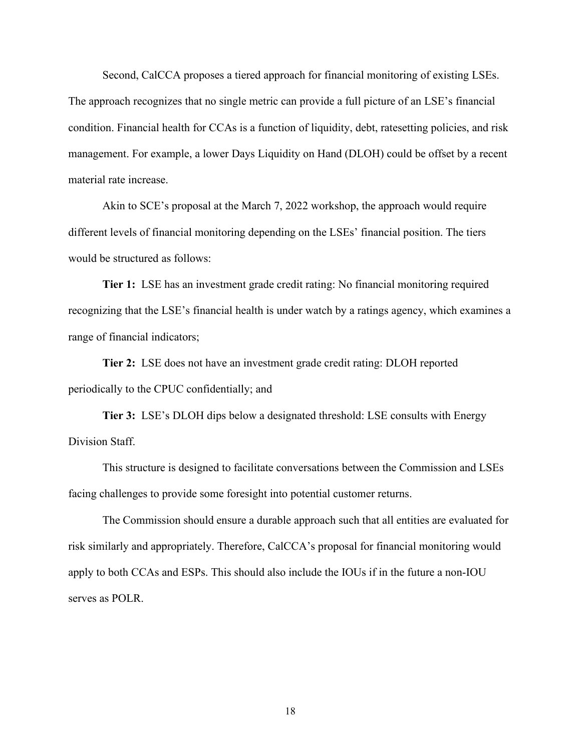Second, CalCCA proposes a tiered approach for financial monitoring of existing LSEs. The approach recognizes that no single metric can provide a full picture of an LSE's financial condition. Financial health for CCAs is a function of liquidity, debt, ratesetting policies, and risk management. For example, a lower Days Liquidity on Hand (DLOH) could be offset by a recent material rate increase.

Akin to SCE's proposal at the March 7, 2022 workshop, the approach would require different levels of financial monitoring depending on the LSEs' financial position. The tiers would be structured as follows:

**Tier 1:** LSE has an investment grade credit rating: No financial monitoring required recognizing that the LSE's financial health is under watch by a ratings agency, which examines a range of financial indicators;

**Tier 2:** LSE does not have an investment grade credit rating: DLOH reported periodically to the CPUC confidentially; and

**Tier 3:** LSE's DLOH dips below a designated threshold: LSE consults with Energy Division Staff.

This structure is designed to facilitate conversations between the Commission and LSEs facing challenges to provide some foresight into potential customer returns.

The Commission should ensure a durable approach such that all entities are evaluated for risk similarly and appropriately. Therefore, CalCCA's proposal for financial monitoring would apply to both CCAs and ESPs. This should also include the IOUs if in the future a non-IOU serves as POLR.